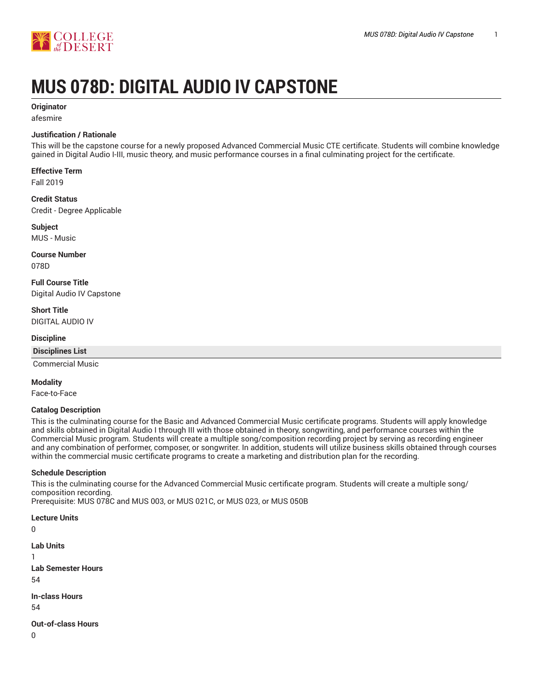

# **MUS 078D: DIGITAL AUDIO IV CAPSTONE**

## **Originator**

afesmire

## **Justification / Rationale**

This will be the capstone course for a newly proposed Advanced Commercial Music CTE certificate. Students will combine knowledge gained in Digital Audio I-III, music theory, and music performance courses in a final culminating project for the certificate.

**Effective Term**

Fall 2019

**Credit Status** Credit - Degree Applicable

**Subject** MUS - Music

**Course Number** 078D

**Full Course Title** Digital Audio IV Capstone

**Short Title** DIGITAL AUDIO IV

#### **Discipline**

**Disciplines List**

Commercial Music

**Modality**

Face-to-Face

#### **Catalog Description**

This is the culminating course for the Basic and Advanced Commercial Music certificate programs. Students will apply knowledge and skills obtained in Digital Audio I through III with those obtained in theory, songwriting, and performance courses within the Commercial Music program. Students will create a multiple song/composition recording project by serving as recording engineer and any combination of performer, composer, or songwriter. In addition, students will utilize business skills obtained through courses within the commercial music certificate programs to create a marketing and distribution plan for the recording.

#### **Schedule Description**

This is the culminating course for the Advanced Commercial Music certificate program. Students will create a multiple song/ composition recording. Prerequisite: MUS 078C and MUS 003, or MUS 021C, or MUS 023, or MUS 050B

**Lecture Units**

 $\Omega$ **Lab Units** 1 **Lab Semester Hours** 54 **In-class Hours** 54 **Out-of-class Hours**

0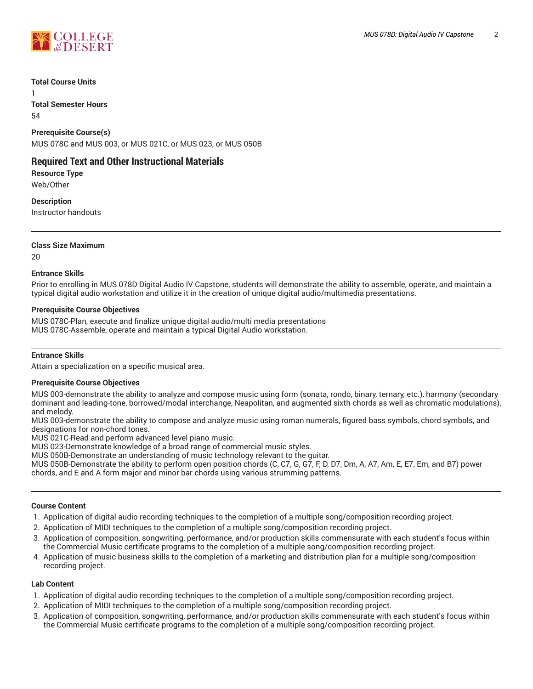

#### **Total Course Units**

1

**Total Semester Hours** 54

**Prerequisite Course(s)** MUS 078C and MUS 003, or MUS 021C, or MUS 023, or MUS 050B

# **Required Text and Other Instructional Materials**

**Resource Type** Web/Other

**Description** Instructor handouts

# **Class Size Maximum**

20

# **Entrance Skills**

Prior to enrolling in MUS 078D Digital Audio IV Capstone, students will demonstrate the ability to assemble, operate, and maintain a typical digital audio workstation and utilize it in the creation of unique digital audio/multimedia presentations.

# **Prerequisite Course Objectives**

MUS 078C-Plan, execute and finalize unique digital audio/multi media presentations MUS 078C-Assemble, operate and maintain a typical Digital Audio workstation.

# **Entrance Skills**

Attain a specialization on a specific musical area.

#### **Prerequisite Course Objectives**

MUS 003-demonstrate the ability to analyze and compose music using form (sonata, rondo, binary, ternary, etc.), harmony (secondary dominant and leading-tone, borrowed/modal interchange, Neapolitan, and augmented sixth chords as well as chromatic modulations), and melody.

MUS 003-demonstrate the ability to compose and analyze music using roman numerals, figured bass symbols, chord symbols, and designations for non-chord tones.

MUS 021C-Read and perform advanced level piano music.

MUS 023-Demonstrate knowledge of a broad range of commercial music styles.

MUS 050B-Demonstrate an understanding of music technology relevant to the guitar.

MUS 050B-Demonstrate the ability to perform open position chords (C, C7, G, G7, F, D, D7, Dm, A, A7, Am, E, E7, Em, and B7) power chords, and E and A form major and minor bar chords using various strumming patterns.

#### **Course Content**

- 1. Application of digital audio recording techniques to the completion of a multiple song/composition recording project.
- 2. Application of MIDI techniques to the completion of a multiple song/composition recording project.
- 3. Application of composition, songwriting, performance, and/or production skills commensurate with each student's focus within the Commercial Music certificate programs to the completion of a multiple song/composition recording project.
- 4. Application of music business skills to the completion of a marketing and distribution plan for a multiple song/composition recording project.

# **Lab Content**

- 1. Application of digital audio recording techniques to the completion of a multiple song/composition recording project.
- 2. Application of MIDI techniques to the completion of a multiple song/composition recording project.
- 3. Application of composition, songwriting, performance, and/or production skills commensurate with each student's focus within the Commercial Music certificate programs to the completion of a multiple song/composition recording project.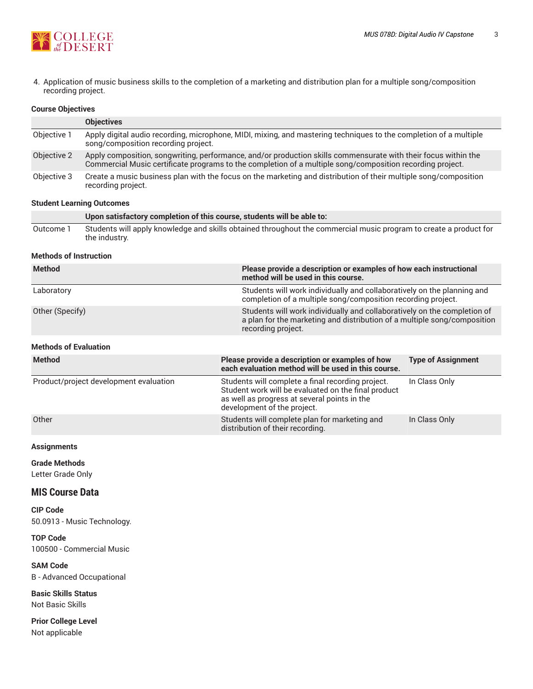

4. Application of music business skills to the completion of a marketing and distribution plan for a multiple song/composition recording project.

### **Course Objectives**

|             | <b>Objectives</b>                                                                                                                                                                                                           |
|-------------|-----------------------------------------------------------------------------------------------------------------------------------------------------------------------------------------------------------------------------|
| Objective 1 | Apply digital audio recording, microphone, MIDI, mixing, and mastering techniques to the completion of a multiple<br>song/composition recording project.                                                                    |
| Objective 2 | Apply composition, songwriting, performance, and/or production skills commensurate with their focus within the<br>Commercial Music certificate programs to the completion of a multiple song/composition recording project. |
| Objective 3 | Create a music business plan with the focus on the marketing and distribution of their multiple song/composition<br>recording project.                                                                                      |

#### **Student Learning Outcomes**

|           | Upon satisfactory completion of this course, students will be able to:                                                             |
|-----------|------------------------------------------------------------------------------------------------------------------------------------|
| Outcome 1 | Students will apply knowledge and skills obtained throughout the commercial music program to create a product for<br>the industry. |

#### **Methods of Instruction**

| <b>Method</b>   | Please provide a description or examples of how each instructional<br>method will be used in this course.                                                                  |
|-----------------|----------------------------------------------------------------------------------------------------------------------------------------------------------------------------|
| Laboratory      | Students will work individually and collaboratively on the planning and<br>completion of a multiple song/composition recording project.                                    |
| Other (Specify) | Students will work individually and collaboratively on the completion of<br>a plan for the marketing and distribution of a multiple song/composition<br>recording project. |

#### **Methods of Evaluation**

| <b>Method</b>                          | Please provide a description or examples of how<br>each evaluation method will be used in this course.                                                                                  | <b>Type of Assignment</b> |
|----------------------------------------|-----------------------------------------------------------------------------------------------------------------------------------------------------------------------------------------|---------------------------|
| Product/project development evaluation | Students will complete a final recording project.<br>Student work will be evaluated on the final product<br>as well as progress at several points in the<br>development of the project. | In Class Only             |
| Other                                  | Students will complete plan for marketing and<br>distribution of their recording.                                                                                                       | In Class Only             |

#### **Assignments**

**Grade Methods**

Letter Grade Only

# **MIS Course Data**

**CIP Code** 50.0913 - Music Technology.

**TOP Code** 100500 - Commercial Music

**SAM Code** B - Advanced Occupational

**Basic Skills Status** Not Basic Skills

**Prior College Level** Not applicable